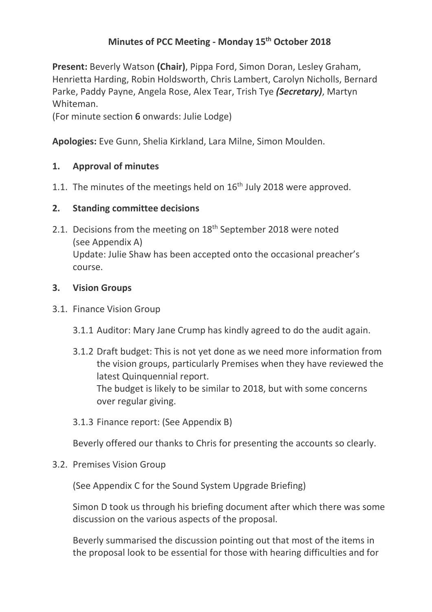# **Minutes of PCC Meeting - Monday 15 th October 2018**

**Present:** Beverly Watson **(Chair)**, Pippa Ford, Simon Doran, Lesley Graham, Henrietta Harding, Robin Holdsworth, Chris Lambert, Carolyn Nicholls, Bernard Parke, Paddy Payne, Angela Rose, Alex Tear, Trish Tye *(Secretary)*, Martyn Whiteman.

(For minute section 6 onwards: Julie Lodge)

**Apologies:** Eve Gunn, Shelia Kirkland, Lara Milne, Simon Moulden.

# **1. Approval of minutes**

1.1. The minutes of the meetings held on  $16<sup>th</sup>$  July 2018 were approved.

# **2. Standing committee decisions**

2.1. Decisions from the meeting on 18<sup>th</sup> September 2018 were noted (see Appendix A) Update: Julie Shaw has been accepted onto the occasional preacher's course.

# **3. Vision Groups**

- 3.1. Finance Vision Group
	- 3.1.1 Auditor: Mary Jane Crump has kindly agreed to do the audit again.
	- 3.1.2 Draft budget: This is not yet done as we need more information from the vision groups, particularly Premises when they have reviewed the latest Quinquennial report. The budget is likely to be similar to 2018, but with some concerns over regular giving.
	- 3.1.3 Finance report: (See Appendix B)

Beverly offered our thanks to Chris for presenting the accounts so clearly.

3.2. Premises Vision Group

(See Appendix C for the Sound System Upgrade Briefing)

Simon D took us through his briefing document after which there was some discussion on the various aspects of the proposal.

Beverly summarised the discussion pointing out that most of the items in the proposal look to be essential for those with hearing difficulties and for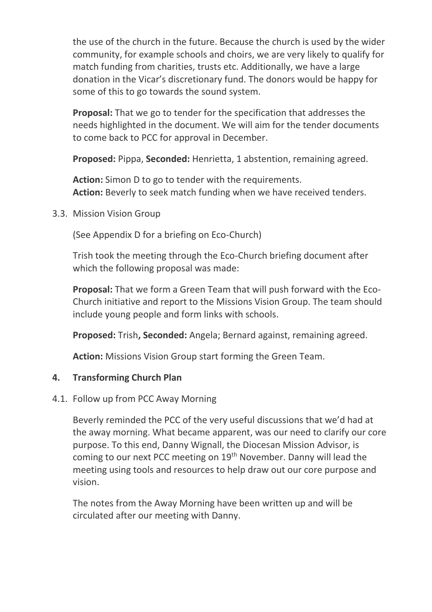the use of the church in the future. Because the church is used by the wider community, for example schools and choirs, we are very likely to qualify for match funding from charities, trusts etc. Additionally, we have a large donation in the Vicar's discretionary fund. The donors would be happy for some of this to go towards the sound system.

**Proposal:** That we go to tender for the specification that addresses the needs highlighted in the document. We will aim for the tender documents to come back to PCC for approval in December.

**Proposed:** Pippa, **Seconded:** Henrietta, 1 abstention, remaining agreed.

**Action:** Simon D to go to tender with the requirements. Action: Beverly to seek match funding when we have received tenders.

3.3. Mission Vision Group

(See Appendix D for a briefing on Eco-Church)

Trish took the meeting through the Eco-Church briefing document after which the following proposal was made:

**Proposal:** That we form a Green Team that will push forward with the Eco-Church initiative and report to the Missions Vision Group. The team should include young people and form links with schools.

**Proposed:** Trish**, Seconded:** Angela; Bernard against, remaining agreed.

**Action:** Missions Vision Group start forming the Green Team.

# **4. Transforming Church Plan**

# 4.1. Follow up from PCC Away Morning

Beverly reminded the PCC of the very useful discussions that we'd had at the away morning. What became apparent, was our need to clarify our core purpose. To this end, Danny Wignall, the Diocesan Mission Advisor, is coming to our next PCC meeting on 19<sup>th</sup> November. Danny will lead the meeting using tools and resources to help draw out our core purpose and vision.

The notes from the Away Morning have been written up and will be circulated after our meeting with Danny.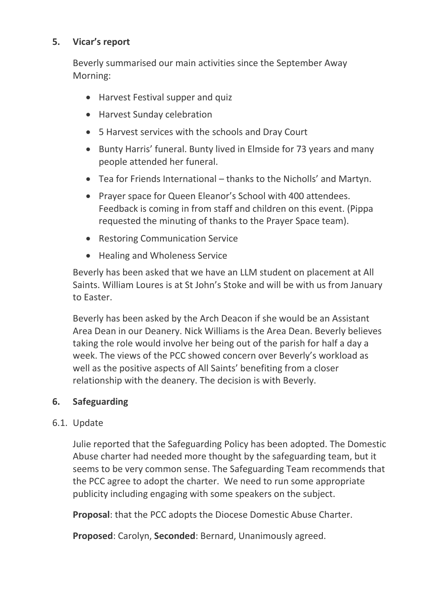# **5. Vicar's report**

Beverly summarised our main activities since the September Away Morning:

- Harvest Festival supper and quiz
- Harvest Sunday celebration
- 5 Harvest services with the schools and Dray Court
- Bunty Harris' funeral. Bunty lived in Elmside for 73 years and many people attended her funeral.
- Tea for Friends International thanks to the Nicholls' and Martyn.
- Prayer space for Queen Eleanor's School with 400 attendees. Feedback is coming in from staff and children on this event. (Pippa requested the minuting of thanks to the Prayer Space team).
- Restoring Communication Service
- Healing and Wholeness Service

Beverly has been asked that we have an LLM student on placement at All Saints. William Loures is at St John's Stoke and will be with us from January to Easter.

Beverly has been asked by the Arch Deacon if she would be an Assistant Area Dean in our Deanery. Nick Williams is the Area Dean. Beverly believes taking the role would involve her being out of the parish for half a day a week. The views of the PCC showed concern over Beverly's workload as well as the positive aspects of All Saints' benefiting from a closer relationship with the deanery. The decision is with Beverly.

# **6. Safeguarding**

### 6.1. Update

Julie reported that the Safeguarding Policy has been adopted. The Domestic Abuse charter had needed more thought by the safeguarding team, but it seems to be very common sense. The Safeguarding Team recommends that the PCC agree to adopt the charter. We need to run some appropriate publicity including engaging with some speakers on the subject.

**Proposal**: that the PCC adopts the Diocese Domestic Abuse Charter.

**Proposed**: Carolyn, **Seconded**: Bernard, Unanimously agreed.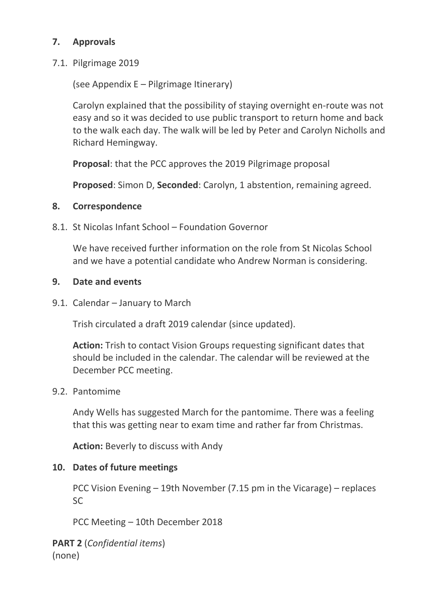# **7. Approvals**

7.1. Pilgrimage 2019

(see Appendix E – Pilgrimage Itinerary)

Carolyn explained that the possibility of staying overnight en-route was not easy and so it was decided to use public transport to return home and back to the walk each day. The walk will be led by Peter and Carolyn Nicholls and Richard Hemingway.

**Proposal**: that the PCC approves the 2019 Pilgrimage proposal

**Proposed**: Simon D, **Seconded**: Carolyn, 1 abstention, remaining agreed.

# **8. Correspondence**

8.1. St Nicolas Infant School – Foundation Governor

We have received further information on the role from St Nicolas School and we have a potential candidate who Andrew Norman is considering.

# **9. Date and events**

9.1. Calendar – January to March

Trish circulated a draft 2019 calendar (since updated).

**Action:** Trish to contact Vision Groups requesting significant dates that should be included in the calendar. The calendar will be reviewed at the December PCC meeting.

# 9.2. Pantomime

Andy Wells has suggested March for the pantomime. There was a feeling that this was getting near to exam time and rather far from Christmas.

**Action:** Beverly to discuss with Andy

# **10. Dates of future meetings**

PCC Vision Evening – 19th November (7.15 pm in the Vicarage) – replaces SC

PCC Meeting – 10th December 2018

**PART 2** (*Confidential items*) (none)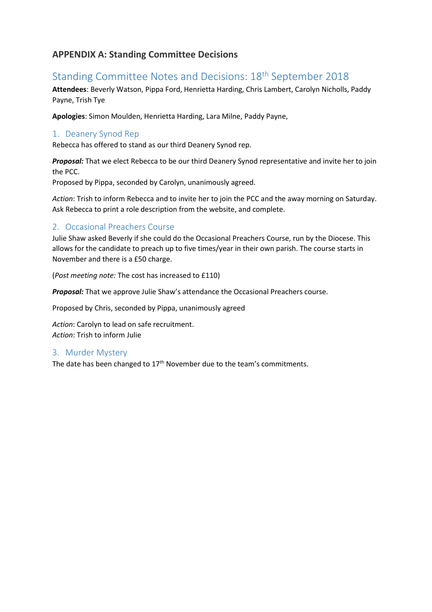### **APPENDIX A: Standing Committee Decisions**

# Standing Committee Notes and Decisions: 18th September 2018

**Attendees**: Beverly Watson, Pippa Ford, Henrietta Harding, Chris Lambert, Carolyn Nicholls, Paddy Payne, Trish Tye

**Apologies**: Simon Moulden, Henrietta Harding, Lara Milne, Paddy Payne,

### 1. Deanery Synod Rep

Rebecca has offered to stand as our third Deanery Synod rep.

*Proposal:* That we elect Rebecca to be our third Deanery Synod representative and invite her to join the PCC.

Proposed by Pippa, seconded by Carolyn, unanimously agreed.

*Action*: Trish to inform Rebecca and to invite her to join the PCC and the away morning on Saturday. Ask Rebecca to print a role description from the website, and complete.

### 2. Occasional Preachers Course

Julie Shaw asked Beverly if she could do the Occasional Preachers Course, run by the Diocese. This allows for the candidate to preach up to five times/year in their own parish. The course starts in November and there is a £50 charge.

(*Post meeting note:* The cost has increased to £110)

*Proposal:* That we approve Julie Shaw's attendance the Occasional Preachers course.

Proposed by Chris, seconded by Pippa, unanimously agreed

*Action*: Carolyn to lead on safe recruitment. *Action*: Trish to inform Julie

#### 3. Murder Mystery

The date has been changed to  $17<sup>th</sup>$  November due to the team's commitments.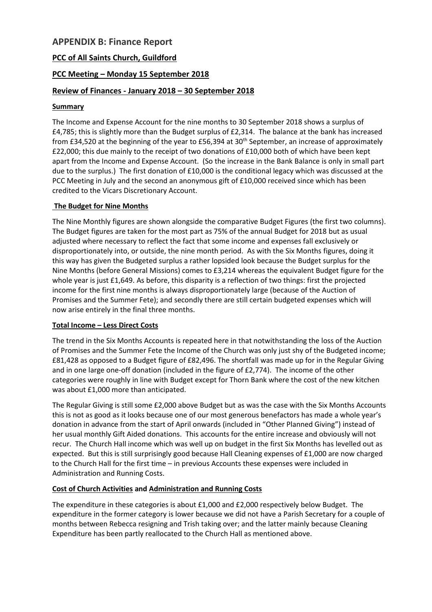### **APPENDIX B: Finance Report**

### **PCC of All Saints Church, Guildford**

### **PCC Meeting – Monday 15 September 2018**

### **Review of Finances - January 2018 – 30 September 2018**

#### **Summary**

The Income and Expense Account for the nine months to 30 September 2018 shows a surplus of £4,785; this is slightly more than the Budget surplus of £2,314. The balance at the bank has increased from £34,520 at the beginning of the year to £56,394 at 30<sup>th</sup> September, an increase of approximately £22,000; this due mainly to the receipt of two donations of £10,000 both of which have been kept apart from the Income and Expense Account. (So the increase in the Bank Balance is only in small part due to the surplus.) The first donation of £10,000 is the conditional legacy which was discussed at the PCC Meeting in July and the second an anonymous gift of £10,000 received since which has been credited to the Vicars Discretionary Account.

#### **The Budget for Nine Months**

The Nine Monthly figures are shown alongside the comparative Budget Figures (the first two columns). The Budget figures are taken for the most part as 75% of the annual Budget for 2018 but as usual adjusted where necessary to reflect the fact that some income and expenses fall exclusively or disproportionately into, or outside, the nine month period. As with the Six Months figures, doing it this way has given the Budgeted surplus a rather lopsided look because the Budget surplus for the Nine Months (before General Missions) comes to £3,214 whereas the equivalent Budget figure for the whole year is just £1,649. As before, this disparity is a reflection of two things: first the projected income for the first nine months is always disproportionately large (because of the Auction of Promises and the Summer Fete); and secondly there are still certain budgeted expenses which will now arise entirely in the final three months.

#### **Total Income – Less Direct Costs**

The trend in the Six Months Accounts is repeated here in that notwithstanding the loss of the Auction of Promises and the Summer Fete the Income of the Church was only just shy of the Budgeted income; £81,428 as opposed to a Budget figure of £82,496. The shortfall was made up for in the Regular Giving and in one large one-off donation (included in the figure of £2,774). The income of the other categories were roughly in line with Budget except for Thorn Bank where the cost of the new kitchen was about £1,000 more than anticipated.

The Regular Giving is still some £2,000 above Budget but as was the case with the Six Months Accounts this is not as good as it looks because one of our most generous benefactors has made a whole year's donation in advance from the start of April onwards (included in "Other Planned Giving") instead of her usual monthly Gift Aided donations. This accounts for the entire increase and obviously will not recur. The Church Hall income which was well up on budget in the first Six Months has levelled out as expected. But this is still surprisingly good because Hall Cleaning expenses of £1,000 are now charged to the Church Hall for the first time – in previous Accounts these expenses were included in Administration and Running Costs.

#### **Cost of Church Activities and Administration and Running Costs**

The expenditure in these categories is about £1,000 and £2,000 respectively below Budget. The expenditure in the former category is lower because we did not have a Parish Secretary for a couple of months between Rebecca resigning and Trish taking over; and the latter mainly because Cleaning Expenditure has been partly reallocated to the Church Hall as mentioned above.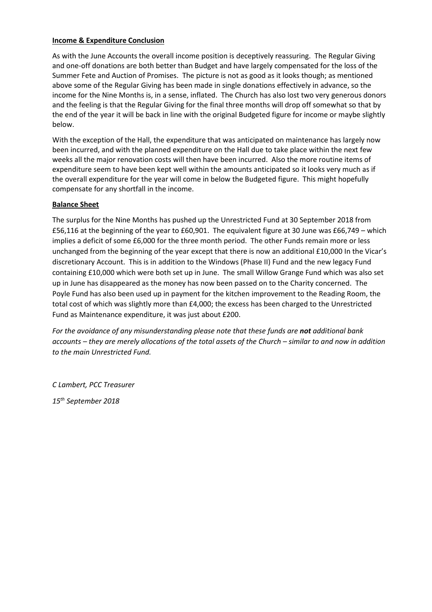#### **Income & Expenditure Conclusion**

As with the June Accounts the overall income position is deceptively reassuring. The Regular Giving and one-off donations are both better than Budget and have largely compensated for the loss of the Summer Fete and Auction of Promises. The picture is not as good as it looks though; as mentioned above some of the Regular Giving has been made in single donations effectively in advance, so the income for the Nine Months is, in a sense, inflated. The Church has also lost two very generous donors and the feeling is that the Regular Giving for the final three months will drop off somewhat so that by the end of the year it will be back in line with the original Budgeted figure for income or maybe slightly below.

With the exception of the Hall, the expenditure that was anticipated on maintenance has largely now been incurred, and with the planned expenditure on the Hall due to take place within the next few weeks all the major renovation costs will then have been incurred. Also the more routine items of expenditure seem to have been kept well within the amounts anticipated so it looks very much as if the overall expenditure for the year will come in below the Budgeted figure. This might hopefully compensate for any shortfall in the income.

#### **Balance Sheet**

The surplus for the Nine Months has pushed up the Unrestricted Fund at 30 September 2018 from £56,116 at the beginning of the year to £60,901. The equivalent figure at 30 June was £66,749 – which implies a deficit of some £6,000 for the three month period. The other Funds remain more or less unchanged from the beginning of the year except that there is now an additional £10,000 In the Vicar's discretionary Account. This is in addition to the Windows (Phase II) Fund and the new legacy Fund containing £10,000 which were both set up in June. The small Willow Grange Fund which was also set up in June has disappeared as the money has now been passed on to the Charity concerned. The Poyle Fund has also been used up in payment for the kitchen improvement to the Reading Room, the total cost of which was slightly more than £4,000; the excess has been charged to the Unrestricted Fund as Maintenance expenditure, it was just about £200.

For the avoidance of any misunderstanding please note that these funds are not additional bank *accounts – they are merely allocations of the total assets of the Church – similar to and now in addition to the main Unrestricted Fund.*

*C Lambert, PCC Treasurer*

*15th September 2018*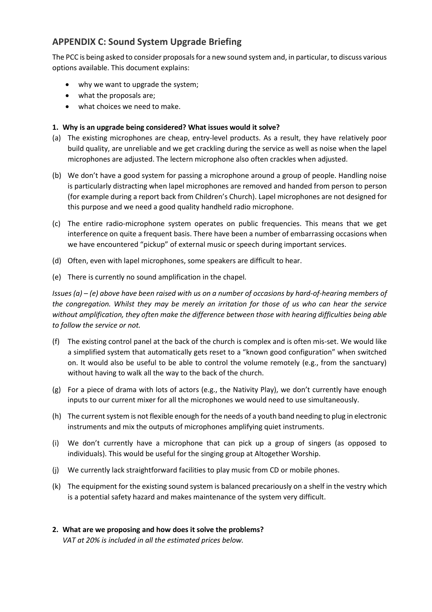# **APPENDIX C: Sound System Upgrade Briefing**

The PCC is being asked to consider proposals for a new sound system and, in particular, to discuss various options available. This document explains:

- why we want to upgrade the system;
- what the proposals are;
- what choices we need to make.

### **1. Why is an upgrade being considered? What issues would it solve?**

- (a) The existing microphones are cheap, entry-level products. As a result, they have relatively poor build quality, are unreliable and we get crackling during the service as well as noise when the lapel microphones are adjusted. The lectern microphone also often crackles when adjusted.
- (b) We don't have a good system for passing a microphone around a group of people. Handling noise is particularly distracting when lapel microphones are removed and handed from person to person (for example during a report back from Children's Church). Lapel microphones are not designed for this purpose and we need a good quality handheld radio microphone.
- (c) The entire radio-microphone system operates on public frequencies. This means that we get interference on quite a frequent basis. There have been a number of embarrassing occasions when we have encountered "pickup" of external music or speech during important services.
- (d) Often, even with lapel microphones, some speakers are difficult to hear.
- (e) There is currently no sound amplification in the chapel.

*Issues (a) – (e) above have been raised with us on a number of occasions by hard-of-hearing members of the congregation. Whilst they may be merely an irritation for those of us who can hear the service without amplification, they often make the difference between those with hearing difficulties being able to follow the service or not.*

- (f) The existing control panel at the back of the church is complex and is often mis-set. We would like a simplified system that automatically gets reset to a "known good configuration" when switched on. It would also be useful to be able to control the volume remotely (e.g., from the sanctuary) without having to walk all the way to the back of the church.
- (g) For a piece of drama with lots of actors (e.g., the Nativity Play), we don't currently have enough inputs to our current mixer for all the microphones we would need to use simultaneously.
- (h) The current system is not flexible enough for the needs of a youth band needing to plug in electronic instruments and mix the outputs of microphones amplifying quiet instruments.
- (i) We don't currently have a microphone that can pick up a group of singers (as opposed to individuals). This would be useful for the singing group at Altogether Worship.
- (j) We currently lack straightforward facilities to play music from CD or mobile phones.
- (k) The equipment for the existing sound system is balanced precariously on a shelf in the vestry which is a potential safety hazard and makes maintenance of the system very difficult.
- **2. What are we proposing and how does it solve the problems?** *VAT at 20% is included in all the estimated prices below.*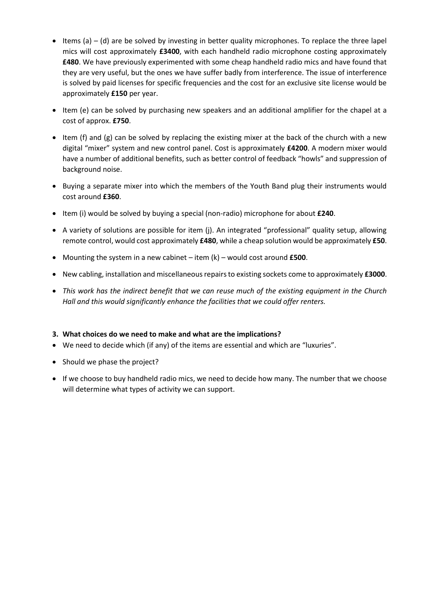- $\bullet$  Items (a) (d) are be solved by investing in better quality microphones. To replace the three lapel mics will cost approximately **£3400**, with each handheld radio microphone costing approximately **£480**. We have previously experimented with some cheap handheld radio mics and have found that they are very useful, but the ones we have suffer badly from interference. The issue of interference is solved by paid licenses for specific frequencies and the cost for an exclusive site license would be approximately **£150** per year.
- Item (e) can be solved by purchasing new speakers and an additional amplifier for the chapel at a cost of approx. **£750**.
- Item (f) and (g) can be solved by replacing the existing mixer at the back of the church with a new digital "mixer" system and new control panel. Cost is approximately **£4200**. A modern mixer would have a number of additional benefits, such as better control of feedback "howls" and suppression of background noise.
- Buying a separate mixer into which the members of the Youth Band plug their instruments would cost around **£360**.
- Item (i) would be solved by buying a special (non-radio) microphone for about **£240**.
- A variety of solutions are possible for item (j). An integrated "professional" quality setup, allowing remote control, would cost approximately **£480**, while a cheap solution would be approximately **£50**.
- Mounting the system in a new cabinet item (k) would cost around **£500**.
- New cabling, installation and miscellaneous repairs to existing sockets come to approximately **£3000**.
- *This work has the indirect benefit that we can reuse much of the existing equipment in the Church Hall and this would significantly enhance the facilities that we could offer renters.*

#### **3. What choices do we need to make and what are the implications?**

- We need to decide which (if any) of the items are essential and which are "luxuries".
- Should we phase the project?
- If we choose to buy handheld radio mics, we need to decide how many. The number that we choose will determine what types of activity we can support.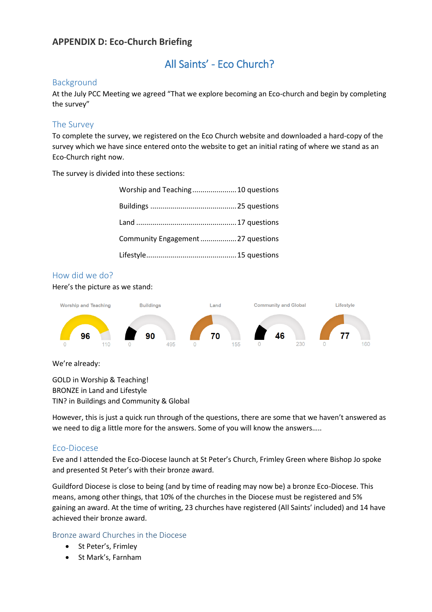### **APPENDIX D: Eco-Church Briefing**

# All Saints' - Eco Church?

### Background

At the July PCC Meeting we agreed "That we explore becoming an Eco-church and begin by completing the survey"

### The Survey

To complete the survey, we registered on the Eco Church website and downloaded a hard-copy of the survey which we have since entered onto the website to get an initial rating of where we stand as an Eco-Church right now.

The survey is divided into these sections:

| Worship and Teaching 10 questions  |  |
|------------------------------------|--|
|                                    |  |
|                                    |  |
| Community Engagement  27 questions |  |
|                                    |  |

### How did we do?

Here's the picture as we stand:



We're already:

GOLD in Worship & Teaching! BRONZE in Land and Lifestyle TIN? in Buildings and Community & Global

However, this is just a quick run through of the questions, there are some that we haven't answered as we need to dig a little more for the answers. Some of you will know the answers…..

#### Eco-Diocese

Eve and I attended the Eco-Diocese launch at St Peter's Church, Frimley Green where Bishop Jo spoke and presented St Peter's with their bronze award.

Guildford Diocese is close to being (and by time of reading may now be) a bronze Eco-Diocese. This means, among other things, that 10% of the churches in the Diocese must be registered and 5% gaining an award. At the time of writing, 23 churches have registered (All Saints' included) and 14 have achieved their bronze award.

#### Bronze award Churches in the Diocese

- St Peter's, Frimley
- St Mark's, Farnham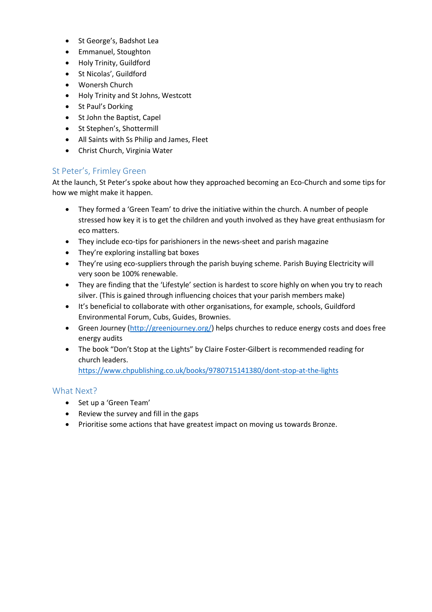- St George's, Badshot Lea
- Emmanuel, Stoughton
- Holy Trinity, Guildford
- St Nicolas', Guildford
- Wonersh Church
- Holy Trinity and St Johns, Westcott
- St Paul's Dorking
- St John the Baptist, Capel
- St Stephen's, Shottermill
- All Saints with Ss Philip and James, Fleet
- Christ Church, Virginia Water

### St Peter's, Frimley Green

At the launch, St Peter's spoke about how they approached becoming an Eco-Church and some tips for how we might make it happen.

- They formed a 'Green Team' to drive the initiative within the church. A number of people stressed how key it is to get the children and youth involved as they have great enthusiasm for eco matters.
- They include eco-tips for parishioners in the news-sheet and parish magazine
- They're exploring installing bat boxes
- They're using eco-suppliers through the parish buying scheme. Parish Buying Electricity will very soon be 100% renewable.
- They are finding that the 'Lifestyle' section is hardest to score highly on when you try to reach silver. (This is gained through influencing choices that your parish members make)
- It's beneficial to collaborate with other organisations, for example, schools, Guildford Environmental Forum, Cubs, Guides, Brownies.
- Green Journey [\(http://greenjourney.org/\)](http://greenjourney.org/) helps churches to reduce energy costs and does free energy audits
- The book "Don't Stop at the Lights" by Claire Foster-Gilbert is recommended reading for church leaders.

<https://www.chpublishing.co.uk/books/9780715141380/dont-stop-at-the-lights>

### What Next?

- Set up a 'Green Team'
- Review the survey and fill in the gaps
- Prioritise some actions that have greatest impact on moving us towards Bronze.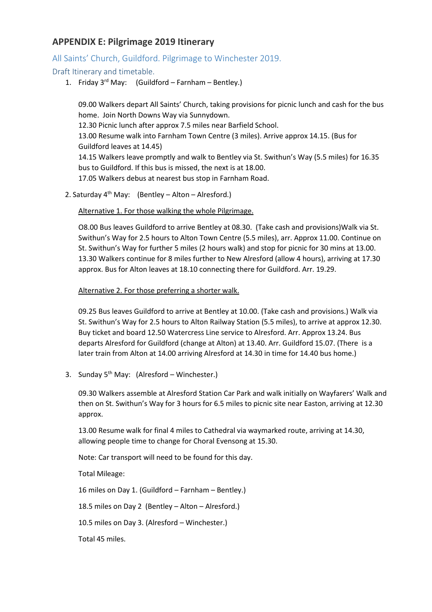### **APPENDIX E: Pilgrimage 2019 Itinerary**

### All Saints' Church, Guildford. Pilgrimage to Winchester 2019.

### Draft Itinerary and timetable.

1. Friday  $3^{rd}$  May: (Guildford – Farnham – Bentley.)

09.00 Walkers depart All Saints' Church, taking provisions for picnic lunch and cash for the bus home. Join North Downs Way via Sunnydown. 12.30 Picnic lunch after approx 7.5 miles near Barfield School. 13.00 Resume walk into Farnham Town Centre (3 miles). Arrive approx 14.15. (Bus for Guildford leaves at 14.45) 14.15 Walkers leave promptly and walk to Bentley via St. Swithun's Way (5.5 miles) for 16.35 bus to Guildford. If this bus is missed, the next is at 18.00. 17.05 Walkers debus at nearest bus stop in Farnham Road.

2. Saturday  $4^{th}$  May: (Bentley – Alton – Alresford.)

Alternative 1. For those walking the whole Pilgrimage.

O8.00 Bus leaves Guildford to arrive Bentley at 08.30. (Take cash and provisions)Walk via St. Swithun's Way for 2.5 hours to Alton Town Centre (5.5 miles), arr. Approx 11.00. Continue on St. Swithun's Way for further 5 miles (2 hours walk) and stop for picnic for 30 mins at 13.00. 13.30 Walkers continue for 8 miles further to New Alresford (allow 4 hours), arriving at 17.30 approx. Bus for Alton leaves at 18.10 connecting there for Guildford. Arr. 19.29.

Alternative 2. For those preferring a shorter walk.

09.25 Bus leaves Guildford to arrive at Bentley at 10.00. (Take cash and provisions.) Walk via St. Swithun's Way for 2.5 hours to Alton Railway Station (5.5 miles), to arrive at approx 12.30. Buy ticket and board 12.50 Watercress Line service to Alresford. Arr. Approx 13.24. Bus departs Alresford for Guildford (change at Alton) at 13.40. Arr. Guildford 15.07. (There is a later train from Alton at 14.00 arriving Alresford at 14.30 in time for 14.40 bus home.)

3. Sunday  $5<sup>th</sup>$  May: (Alresford – Winchester.)

09.30 Walkers assemble at Alresford Station Car Park and walk initially on Wayfarers' Walk and then on St. Swithun's Way for 3 hours for 6.5 miles to picnic site near Easton, arriving at 12.30 approx.

13.00 Resume walk for final 4 miles to Cathedral via waymarked route, arriving at 14.30, allowing people time to change for Choral Evensong at 15.30.

Note: Car transport will need to be found for this day.

Total Mileage:

16 miles on Day 1. (Guildford – Farnham – Bentley.)

18.5 miles on Day 2 (Bentley – Alton – Alresford.)

10.5 miles on Day 3. (Alresford – Winchester.)

Total 45 miles.